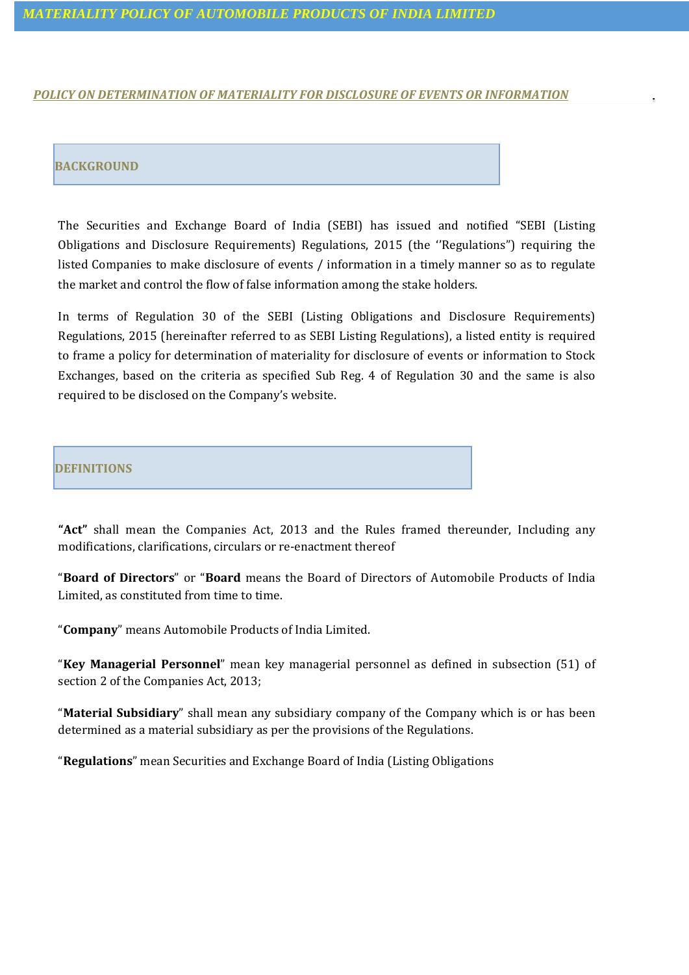## *MATERIALITY POLICY OF AUTOMOBILE PRODUCTS OF INDIA LIMITED*

### *POLICY ON DETERMINATION OF MATERIALITY FOR DISCLOSURE OF EVENTS OR INFORMATION*

## **BACKGROUND**

The Securities and Exchange Board of India (SEBI) has issued and notified "SEBI (Listing Obligations and Disclosure Requirements) Regulations, 2015 (the ''Regulations") requiring the listed Companies to make disclosure of events / information in a timely manner so as to regulate the market and control the flow of false information among the stake holders.

In terms of Regulation 30 of the SEBI (Listing Obligations and Disclosure Requirements) Regulations, 2015 (hereinafter referred to as SEBI Listing Regulations), a listed entity is required to frame a policy for determination of materiality for disclosure of events or information to Stock Exchanges, based on the criteria as specified Sub Reg. 4 of Regulation 30 and the same is also required to be disclosed on the Company's website.

### **DEFINITIONS**

**"Act"** shall mean the Companies Act, 2013 and the Rules framed thereunder, Including any modifications, clarifications, circulars or re-enactment thereof

"**Board of Directors**" or "**Board** means the Board of Directors of Automobile Products of India Limited, as constituted from time to time.

"**Company**" means Automobile Products of India Limited.

"**Key Managerial Personnel**" mean key managerial personnel as defined in subsection (51) of section 2 of the Companies Act, 2013;

"**Material Subsidiary**" shall mean any subsidiary company of the Company which is or has been determined as a material subsidiary as per the provisions of the Regulations.

"**Regulations**" mean Securities and Exchange Board of India (Listing Obligations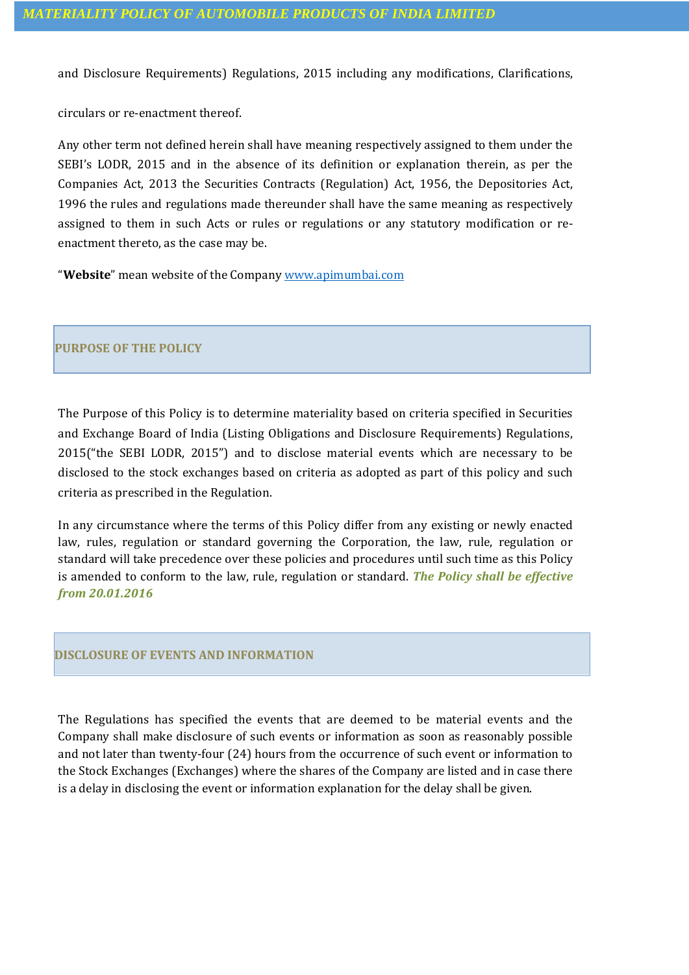and Disclosure Requirements) Regulations, 2015 including any modifications, Clarifications,

circulars or re-enactment thereof.

Any other term not defined herein shall have meaning respectively assigned to them under the SEBI's LODR, 2015 and in the absence of its definition or explanation therein, as per the Companies Act, 2013 the Securities Contracts (Regulation) Act, 1956, the Depositories Act, 1996 the rules and regulations made thereunder shall have the same meaning as respectively assigned to them in such Acts or rules or regulations or any statutory modification or reenactment thereto, as the case may be.

"**Website**" mean website of the Company [www.apimumbai.com](http://www.apimumbai.com/)

# **PURPOSE OF THE POLICY**

The Purpose of this Policy is to determine materiality based on criteria specified in Securities and Exchange Board of India (Listing Obligations and Disclosure Requirements) Regulations, 2015("the SEBI LODR, 2015") and to disclose material events which are necessary to be disclosed to the stock exchanges based on criteria as adopted as part of this policy and such criteria as prescribed in the Regulation.

In any circumstance where the terms of this Policy differ from any existing or newly enacted law, rules, regulation or standard governing the Corporation, the law, rule, regulation or standard will take precedence over these policies and procedures until such time as this Policy is amended to conform to the law, rule, regulation or standard. *The Policy shall be effective from 20.01.2016*

## **DISCLOSURE OF EVENTS AND INFORMATION**

The Regulations has specified the events that are deemed to be material events and the Company shall make disclosure of such events or information as soon as reasonably possible and not later than twenty-four (24) hours from the occurrence of such event or information to the Stock Exchanges (Exchanges) where the shares of the Company are listed and in case there is a delay in disclosing the event or information explanation for the delay shall be given.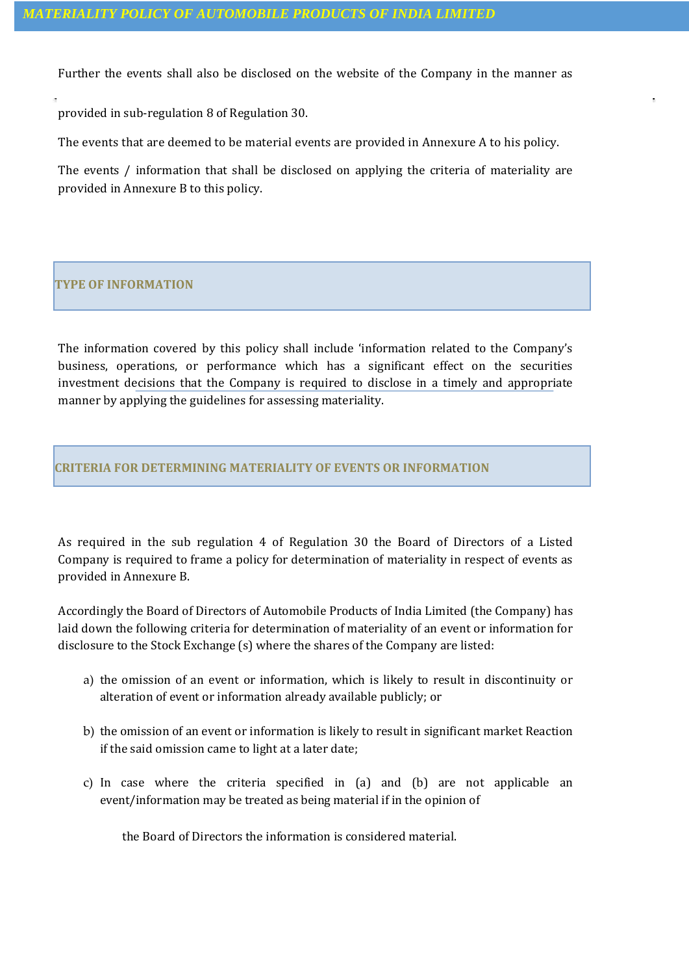Further the events shall also be disclosed on the website of the Company in the manner as

provided in sub-regulation 8 of Regulation 30.

The events that are deemed to be material events are provided in Annexure A to his policy.

The events / information that shall be disclosed on applying the criteria of materiality are provided in Annexure B to this policy.

# **TYPE OF INFORMATION**

The information covered by this policy shall include 'information related to the Company's business, operations, or performance which has a significant effect on the securities investment decisions that the Company is required to disclose in a timely and appropriate manner by applying the guidelines for assessing materiality.

## **CRITERIA FOR DETERMINING MATERIALITY OF EVENTS OR INFORMATION**

As required in the sub regulation 4 of Regulation 30 the Board of Directors of a Listed Company is required to frame a policy for determination of materiality in respect of events as provided in Annexure B.

Accordingly the Board of Directors of Automobile Products of India Limited (the Company) has laid down the following criteria for determination of materiality of an event or information for disclosure to the Stock Exchange (s) where the shares of the Company are listed:

- a) the omission of an event or information, which is likely to result in discontinuity or alteration of event or information already available publicly; or
- b) the omission of an event or information is likely to result in significant market Reaction if the said omission came to light at a later date;
- c) In case where the criteria specified in (a) and (b) are not applicable an event/information may be treated as being material if in the opinion of

the Board of Directors the information is considered material.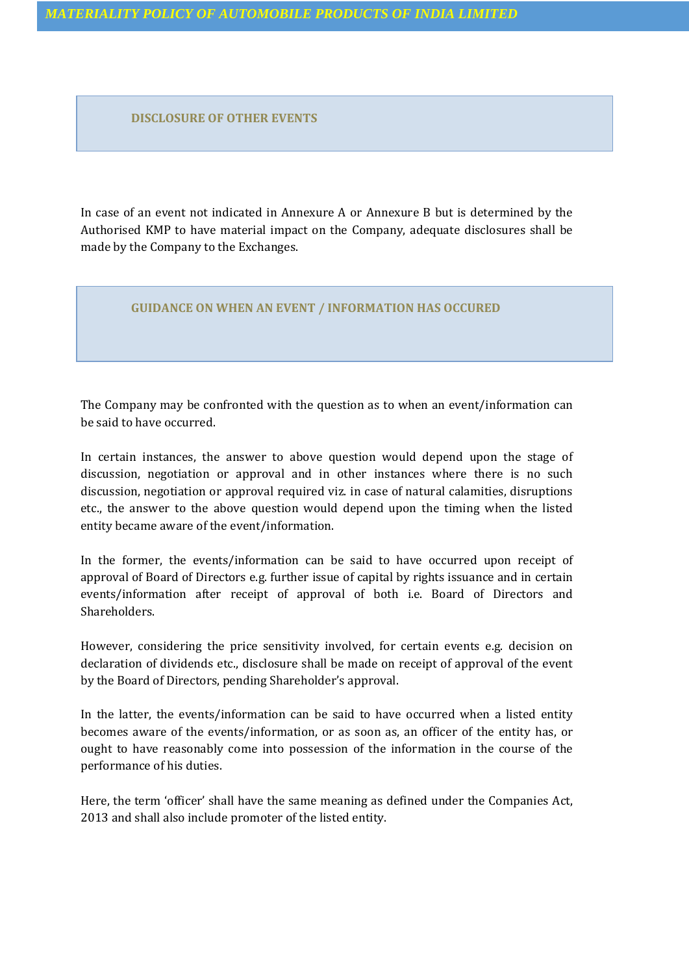**DISCLOSURE OF OTHER EVENTS**

In case of an event not indicated in Annexure A or Annexure B but is determined by the Authorised KMP to have material impact on the Company, adequate disclosures shall be made by the Company to the Exchanges.

### **GUIDANCE ON WHEN AN EVENT / INFORMATION HAS OCCURED**

The Company may be confronted with the question as to when an event/information can be said to have occurred.

In certain instances, the answer to above question would depend upon the stage of discussion, negotiation or approval and in other instances where there is no such discussion, negotiation or approval required viz. in case of natural calamities, disruptions etc., the answer to the above question would depend upon the timing when the listed entity became aware of the event/information.

In the former, the events/information can be said to have occurred upon receipt of approval of Board of Directors e.g. further issue of capital by rights issuance and in certain events/information after receipt of approval of both i.e. Board of Directors and Shareholders.

However, considering the price sensitivity involved, for certain events e.g. decision on declaration of dividends etc., disclosure shall be made on receipt of approval of the event by the Board of Directors, pending Shareholder's approval.

In the latter, the events/information can be said to have occurred when a listed entity becomes aware of the events/information, or as soon as, an officer of the entity has, or ought to have reasonably come into possession of the information in the course of the performance of his duties.

Here, the term 'officer' shall have the same meaning as defined under the Companies Act, 2013 and shall also include promoter of the listed entity.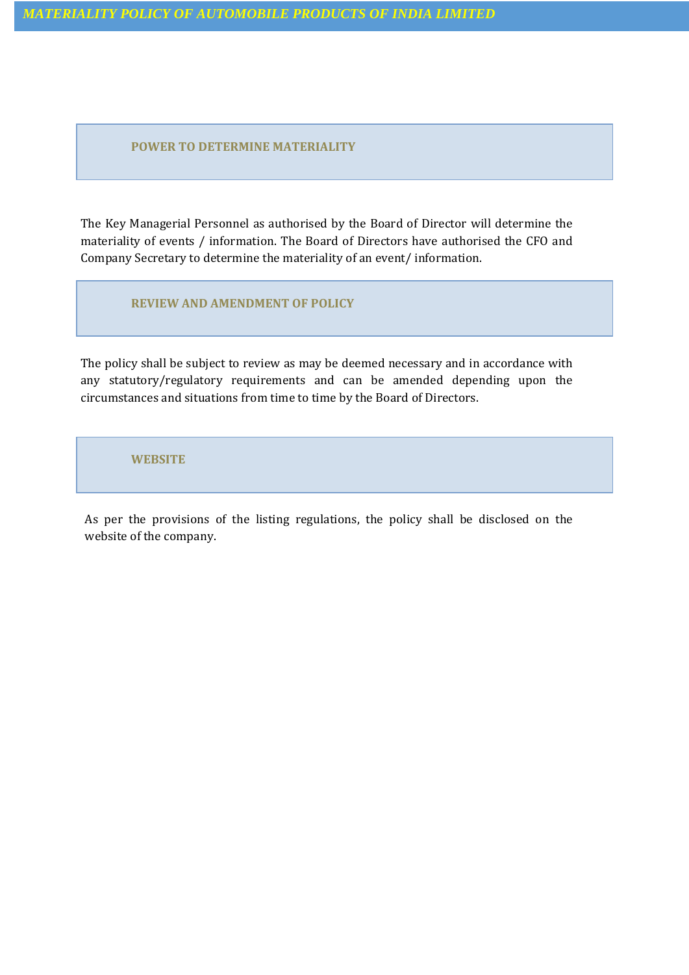**POWER TO DETERMINE MATERIALITY**

The Key Managerial Personnel as authorised by the Board of Director will determine the materiality of events / information. The Board of Directors have authorised the CFO and Company Secretary to determine the materiality of an event/ information.

**REVIEW AND AMENDMENT OF POLICY**

The policy shall be subject to review as may be deemed necessary and in accordance with any statutory/regulatory requirements and can be amended depending upon the circumstances and situations from time to time by the Board of Directors.

**WEBSITE**

As per the provisions of the listing regulations, the policy shall be disclosed on the website of the company.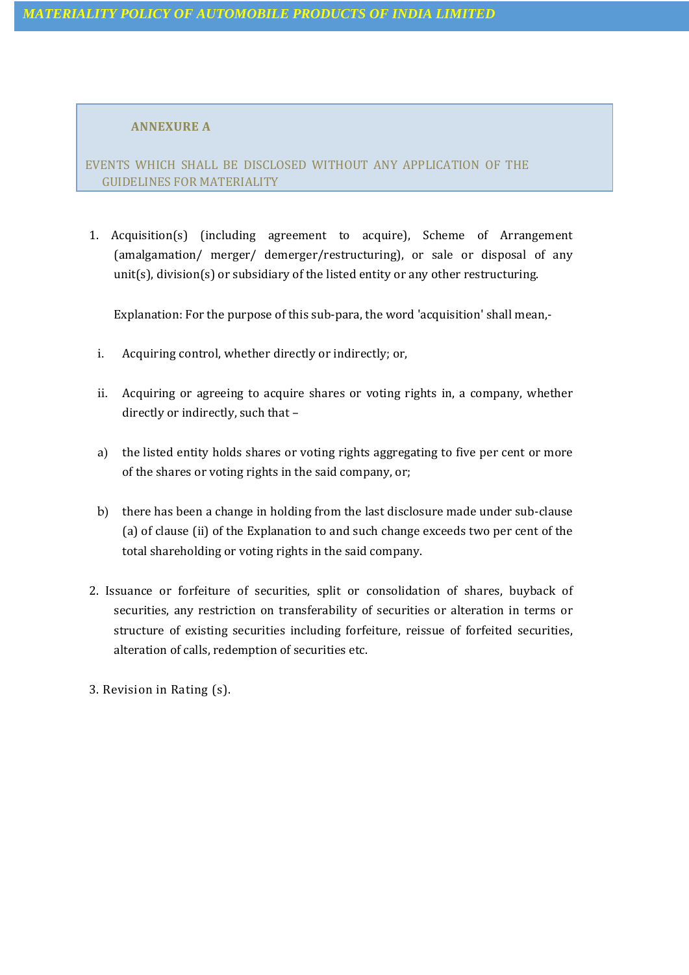## **ANNEXURE A**

EVENTS WHICH SHALL BE DISCLOSED WITHOUT ANY APPLICATION OF THE GUIDELINES FOR MATERIALITY

1. Acquisition(s) (including agreement to acquire), Scheme of Arrangement (amalgamation/ merger/ demerger/restructuring), or sale or disposal of any unit(s), division(s) or subsidiary of the listed entity or any other restructuring.

Explanation: For the purpose of this sub-para, the word 'acquisition' shall mean,-

- i. Acquiring control, whether directly or indirectly; or,
- ii. Acquiring or agreeing to acquire shares or voting rights in, a company, whether directly or indirectly, such that –
- a) the listed entity holds shares or voting rights aggregating to five per cent or more of the shares or voting rights in the said company, or;
- b) there has been a change in holding from the last disclosure made under sub-clause (a) of clause (ii) of the Explanation to and such change exceeds two per cent of the total shareholding or voting rights in the said company.
- 2. Issuance or forfeiture of securities, split or consolidation of shares, buyback of securities, any restriction on transferability of securities or alteration in terms or structure of existing securities including forfeiture, reissue of forfeited securities, alteration of calls, redemption of securities etc.
- 3. Revision in Rating (s).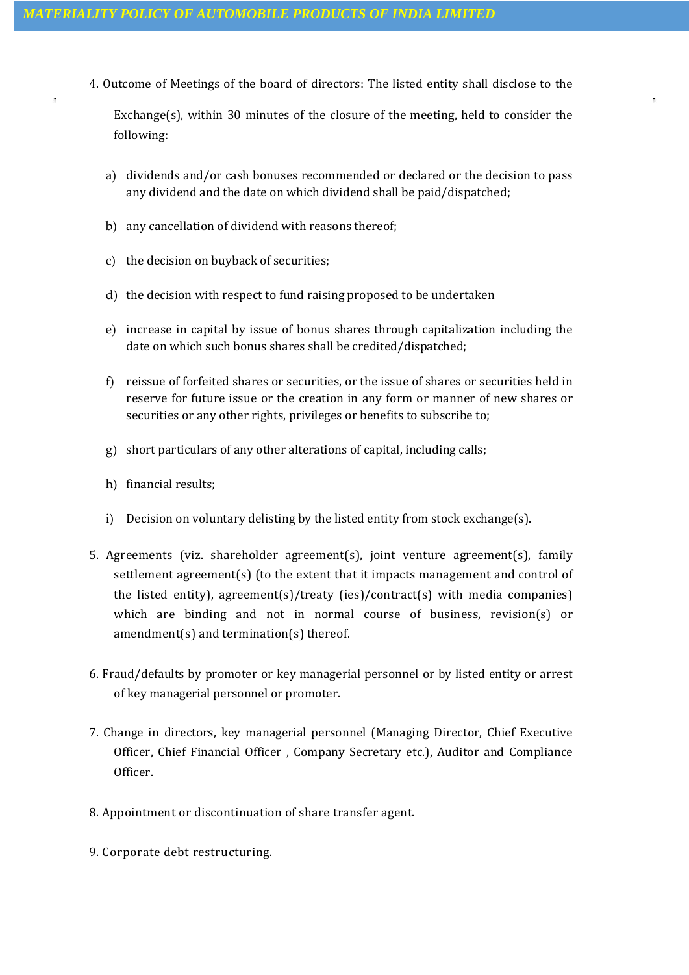4. Outcome of Meetings of the board of directors: The listed entity shall disclose to the

Exchange(s), within 30 minutes of the closure of the meeting, held to consider the following:

- a) dividends and/or cash bonuses recommended or declared or the decision to pass any dividend and the date on which dividend shall be paid/dispatched;
- b) any cancellation of dividend with reasons thereof;
- c) the decision on buyback of securities;
- d) the decision with respect to fund raising proposed to be undertaken
- e) increase in capital by issue of bonus shares through capitalization including the date on which such bonus shares shall be credited/dispatched;
- f) reissue of forfeited shares or securities, or the issue of shares or securities held in reserve for future issue or the creation in any form or manner of new shares or securities or any other rights, privileges or benefits to subscribe to;
- g) short particulars of any other alterations of capital, including calls;
- h) financial results;
- i) Decision on voluntary delisting by the listed entity from stock exchange(s).
- 5. Agreements (viz. shareholder agreement(s), joint venture agreement(s), family settlement agreement(s) (to the extent that it impacts management and control of the listed entity), agreement(s)/treaty (ies)/contract(s) with media companies) which are binding and not in normal course of business, revision(s) or amendment(s) and termination(s) thereof.
- 6. Fraud/defaults by promoter or key managerial personnel or by listed entity or arrest of key managerial personnel or promoter.
- 7. Change in directors, key managerial personnel (Managing Director, Chief Executive Officer, Chief Financial Officer , Company Secretary etc.), Auditor and Compliance Officer.
- 8. Appointment or discontinuation of share transfer agent.
- 9. Corporate debt restructuring.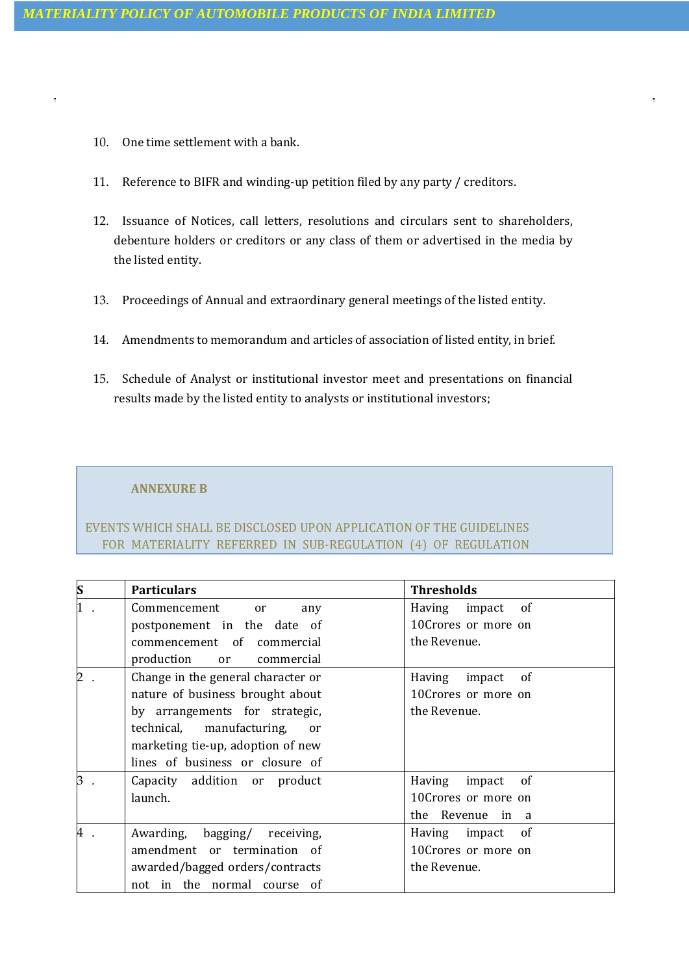10. One time settlement with a bank.

 $\bar{\alpha}$ 

- 11. Reference to BIFR and winding-up petition filed by any party / creditors.
- 12. Issuance of Notices, call letters, resolutions and circulars sent to shareholders, debenture holders or creditors or any class of them or advertised in the media by the listed entity.
- 13. Proceedings of Annual and extraordinary general meetings of the listed entity.
- 14. Amendments to memorandum and articles of association of listed entity, in brief.
- 15. Schedule of Analyst or institutional investor meet and presentations on financial results made by the listed entity to analysts or institutional investors;

## **ANNEXURE B**

# EVENTS WHICH SHALL BE DISCLOSED UPON APPLICATION OF THE GUIDELINES FOR MATERIALITY REFERRED IN SUB-REGULATION (4) OF REGULATION

| $\boldsymbol{s}$ | <b>Particulars</b>                 | <b>Thresholds</b>      |
|------------------|------------------------------------|------------------------|
| $\mathbf 1$      | Commencement or<br>any             | Having impact of       |
|                  | postponement in the date of        | 10Crores or more on    |
|                  | commencement of commercial         | the Revenue.           |
|                  | production or commercial           |                        |
| 2                | Change in the general character or | Having<br>impact<br>of |
|                  | nature of business brought about   | 10Crores or more on    |
|                  | by arrangements for strategic,     | the Revenue.           |
|                  | technical, manufacturing,<br>or    |                        |
|                  | marketing tie-up, adoption of new  |                        |
|                  | lines of business or closure of    |                        |
| B                | Capacity addition or product       | Having<br>impact<br>of |
|                  | launch.                            | 10Crores or more on    |
|                  |                                    | the Revenue in a       |
| 4                | Awarding, bagging/ receiving,      | Having impact of       |
|                  | amendment or termination of        | 10Crores or more on    |
|                  | awarded/bagged orders/contracts    | the Revenue.           |
|                  | not in the normal course of        |                        |